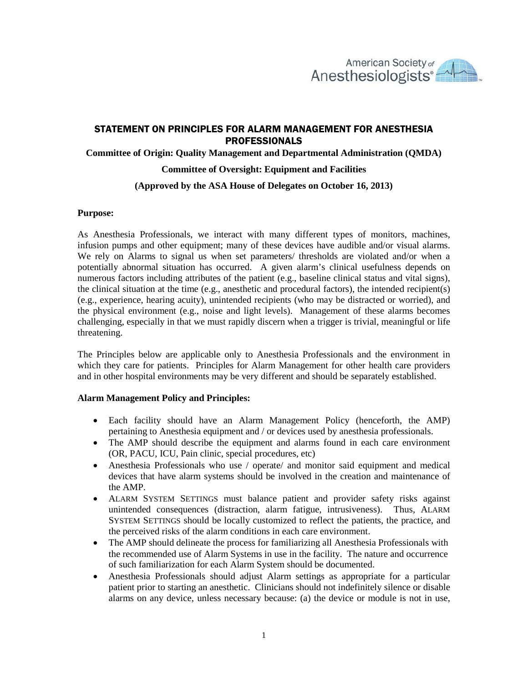

# STATEMENT ON PRINCIPLES FOR ALARM MANAGEMENT FOR ANESTHESIA PROFESSIONALS

## **Committee of Origin: Quality Management and Departmental Administration (QMDA)**

## **Committee of Oversight: Equipment and Facilities**

## **(Approved by the ASA House of Delegates on October 16, 2013)**

## **Purpose:**

As Anesthesia Professionals, we interact with many different types of monitors, machines, infusion pumps and other equipment; many of these devices have audible and/or visual alarms. We rely on Alarms to signal us when set parameters/ thresholds are violated and/or when a potentially abnormal situation has occurred. A given alarm's clinical usefulness depends on numerous factors including attributes of the patient (e.g., baseline clinical status and vital signs), the clinical situation at the time (e.g., anesthetic and procedural factors), the intended recipient(s) (e.g., experience, hearing acuity), unintended recipients (who may be distracted or worried), and the physical environment (e.g., noise and light levels). Management of these alarms becomes challenging, especially in that we must rapidly discern when a trigger is trivial, meaningful or life threatening.

The Principles below are applicable only to Anesthesia Professionals and the environment in which they care for patients. Principles for Alarm Management for other health care providers and in other hospital environments may be very different and should be separately established.

## **Alarm Management Policy and Principles:**

- Each facility should have an Alarm Management Policy (henceforth, the AMP) pertaining to Anesthesia equipment and / or devices used by anesthesia professionals.
- The AMP should describe the equipment and alarms found in each care environment (OR, PACU, ICU, Pain clinic, special procedures, etc)
- Anesthesia Professionals who use / operate/ and monitor said equipment and medical devices that have alarm systems should be involved in the creation and maintenance of the AMP.
- ALARM SYSTEM SETTINGS must balance patient and provider safety risks against unintended consequences (distraction, alarm fatigue, intrusiveness). Thus, ALARM SYSTEM SETTINGS should be locally customized to reflect the patients, the practice, and the perceived risks of the alarm conditions in each care environment.
- The AMP should delineate the process for familiarizing all Anesthesia Professionals with the recommended use of Alarm Systems in use in the facility. The nature and occurrence of such familiarization for each Alarm System should be documented.
- Anesthesia Professionals should adjust Alarm settings as appropriate for a particular patient prior to starting an anesthetic. Clinicians should not indefinitely silence or disable alarms on any device, unless necessary because: (a) the device or module is not in use,